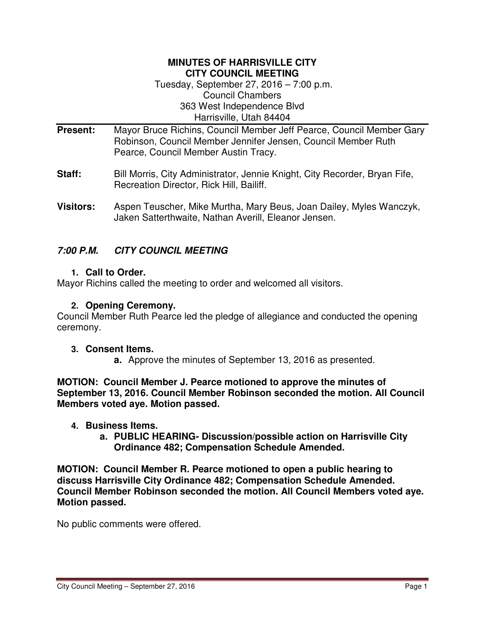#### **MINUTES OF HARRISVILLE CITY CITY COUNCIL MEETING**

Tuesday, September 27, 2016 – 7:00 p.m. Council Chambers 363 West Independence Blvd Harrisville, Utah 84404

- **Present:** Mayor Bruce Richins, Council Member Jeff Pearce, Council Member Gary Robinson, Council Member Jennifer Jensen, Council Member Ruth Pearce, Council Member Austin Tracy.
- **Staff:** Bill Morris, City Administrator, Jennie Knight, City Recorder, Bryan Fife, Recreation Director, Rick Hill, Bailiff.
- **Visitors:** Aspen Teuscher, Mike Murtha, Mary Beus, Joan Dailey, Myles Wanczyk, Jaken Satterthwaite, Nathan Averill, Eleanor Jensen.

# **7:00 P.M. CITY COUNCIL MEETING**

## **1. Call to Order.**

Mayor Richins called the meeting to order and welcomed all visitors.

## **2. Opening Ceremony.**

Council Member Ruth Pearce led the pledge of allegiance and conducted the opening ceremony.

### **3. Consent Items.**

**a.** Approve the minutes of September 13, 2016 as presented.

**MOTION: Council Member J. Pearce motioned to approve the minutes of September 13, 2016. Council Member Robinson seconded the motion. All Council Members voted aye. Motion passed.** 

- **4. Business Items.**
	- **a. PUBLIC HEARING- Discussion/possible action on Harrisville City Ordinance 482; Compensation Schedule Amended.**

**MOTION: Council Member R. Pearce motioned to open a public hearing to discuss Harrisville City Ordinance 482; Compensation Schedule Amended. Council Member Robinson seconded the motion. All Council Members voted aye. Motion passed.** 

No public comments were offered.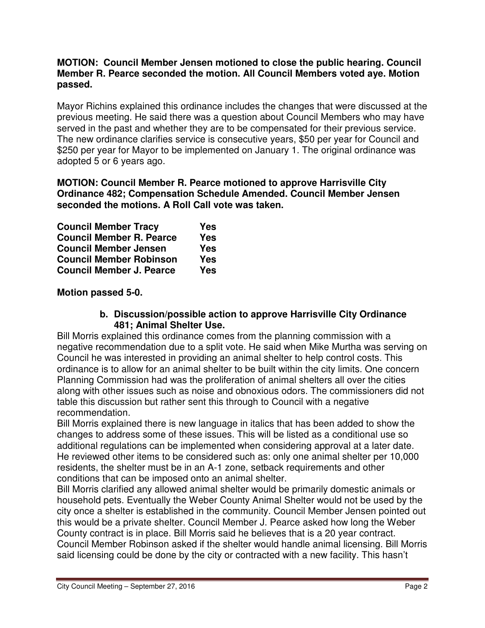### **MOTION: Council Member Jensen motioned to close the public hearing. Council Member R. Pearce seconded the motion. All Council Members voted aye. Motion passed.**

Mayor Richins explained this ordinance includes the changes that were discussed at the previous meeting. He said there was a question about Council Members who may have served in the past and whether they are to be compensated for their previous service. The new ordinance clarifies service is consecutive years, \$50 per year for Council and \$250 per year for Mayor to be implemented on January 1. The original ordinance was adopted 5 or 6 years ago.

### **MOTION: Council Member R. Pearce motioned to approve Harrisville City Ordinance 482; Compensation Schedule Amended. Council Member Jensen seconded the motions. A Roll Call vote was taken.**

| <b>Council Member Tracy</b>     | Yes        |
|---------------------------------|------------|
| <b>Council Member R. Pearce</b> | <b>Yes</b> |
| <b>Council Member Jensen</b>    | Yes        |
| <b>Council Member Robinson</b>  | <b>Yes</b> |
| <b>Council Member J. Pearce</b> | Yes        |

**Motion passed 5-0.** 

### **b. Discussion/possible action to approve Harrisville City Ordinance 481; Animal Shelter Use.**

Bill Morris explained this ordinance comes from the planning commission with a negative recommendation due to a split vote. He said when Mike Murtha was serving on Council he was interested in providing an animal shelter to help control costs. This ordinance is to allow for an animal shelter to be built within the city limits. One concern Planning Commission had was the proliferation of animal shelters all over the cities along with other issues such as noise and obnoxious odors. The commissioners did not table this discussion but rather sent this through to Council with a negative recommendation.

Bill Morris explained there is new language in italics that has been added to show the changes to address some of these issues. This will be listed as a conditional use so additional regulations can be implemented when considering approval at a later date. He reviewed other items to be considered such as: only one animal shelter per 10,000 residents, the shelter must be in an A-1 zone, setback requirements and other conditions that can be imposed onto an animal shelter.

Bill Morris clarified any allowed animal shelter would be primarily domestic animals or household pets. Eventually the Weber County Animal Shelter would not be used by the city once a shelter is established in the community. Council Member Jensen pointed out this would be a private shelter. Council Member J. Pearce asked how long the Weber County contract is in place. Bill Morris said he believes that is a 20 year contract. Council Member Robinson asked if the shelter would handle animal licensing. Bill Morris said licensing could be done by the city or contracted with a new facility. This hasn't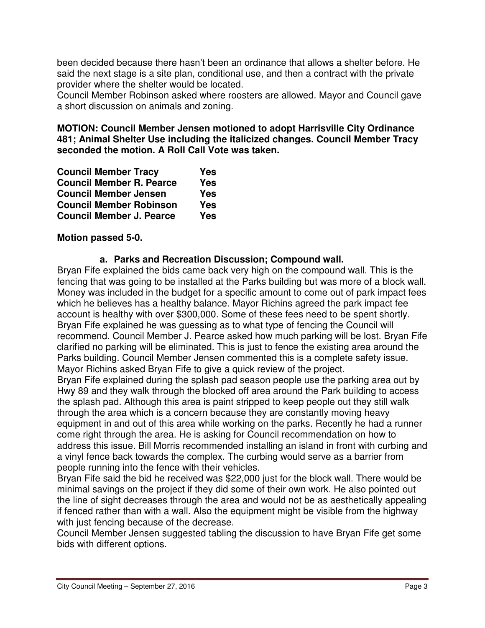been decided because there hasn't been an ordinance that allows a shelter before. He said the next stage is a site plan, conditional use, and then a contract with the private provider where the shelter would be located.

Council Member Robinson asked where roosters are allowed. Mayor and Council gave a short discussion on animals and zoning.

## **MOTION: Council Member Jensen motioned to adopt Harrisville City Ordinance 481; Animal Shelter Use including the italicized changes. Council Member Tracy seconded the motion. A Roll Call Vote was taken.**

| <b>Council Member Tracy</b>     | <b>Yes</b> |
|---------------------------------|------------|
| <b>Council Member R. Pearce</b> | <b>Yes</b> |
| <b>Council Member Jensen</b>    | <b>Yes</b> |
| <b>Council Member Robinson</b>  | <b>Yes</b> |
| <b>Council Member J. Pearce</b> | <b>Yes</b> |

# **Motion passed 5-0.**

### **a. Parks and Recreation Discussion; Compound wall.**

Bryan Fife explained the bids came back very high on the compound wall. This is the fencing that was going to be installed at the Parks building but was more of a block wall. Money was included in the budget for a specific amount to come out of park impact fees which he believes has a healthy balance. Mayor Richins agreed the park impact fee account is healthy with over \$300,000. Some of these fees need to be spent shortly. Bryan Fife explained he was guessing as to what type of fencing the Council will recommend. Council Member J. Pearce asked how much parking will be lost. Bryan Fife clarified no parking will be eliminated. This is just to fence the existing area around the Parks building. Council Member Jensen commented this is a complete safety issue. Mayor Richins asked Bryan Fife to give a quick review of the project.

Bryan Fife explained during the splash pad season people use the parking area out by Hwy 89 and they walk through the blocked off area around the Park building to access the splash pad. Although this area is paint stripped to keep people out they still walk through the area which is a concern because they are constantly moving heavy equipment in and out of this area while working on the parks. Recently he had a runner come right through the area. He is asking for Council recommendation on how to address this issue. Bill Morris recommended installing an island in front with curbing and a vinyl fence back towards the complex. The curbing would serve as a barrier from people running into the fence with their vehicles.

Bryan Fife said the bid he received was \$22,000 just for the block wall. There would be minimal savings on the project if they did some of their own work. He also pointed out the line of sight decreases through the area and would not be as aesthetically appealing if fenced rather than with a wall. Also the equipment might be visible from the highway with just fencing because of the decrease.

Council Member Jensen suggested tabling the discussion to have Bryan Fife get some bids with different options.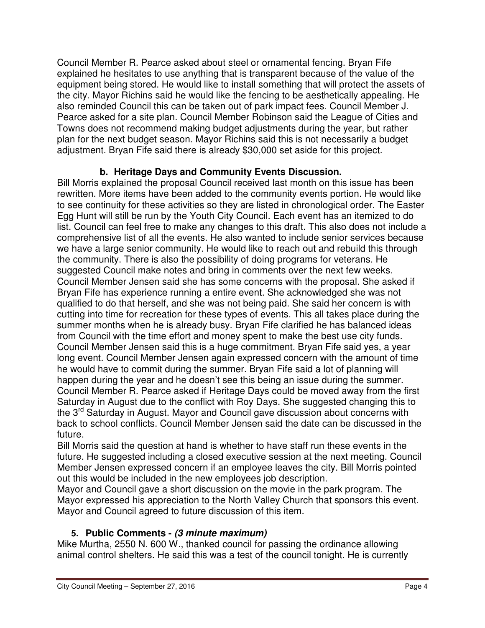Council Member R. Pearce asked about steel or ornamental fencing. Bryan Fife explained he hesitates to use anything that is transparent because of the value of the equipment being stored. He would like to install something that will protect the assets of the city. Mayor Richins said he would like the fencing to be aesthetically appealing. He also reminded Council this can be taken out of park impact fees. Council Member J. Pearce asked for a site plan. Council Member Robinson said the League of Cities and Towns does not recommend making budget adjustments during the year, but rather plan for the next budget season. Mayor Richins said this is not necessarily a budget adjustment. Bryan Fife said there is already \$30,000 set aside for this project.

# **b. Heritage Days and Community Events Discussion.**

Bill Morris explained the proposal Council received last month on this issue has been rewritten. More items have been added to the community events portion. He would like to see continuity for these activities so they are listed in chronological order. The Easter Egg Hunt will still be run by the Youth City Council. Each event has an itemized to do list. Council can feel free to make any changes to this draft. This also does not include a comprehensive list of all the events. He also wanted to include senior services because we have a large senior community. He would like to reach out and rebuild this through the community. There is also the possibility of doing programs for veterans. He suggested Council make notes and bring in comments over the next few weeks. Council Member Jensen said she has some concerns with the proposal. She asked if Bryan Fife has experience running a entire event. She acknowledged she was not qualified to do that herself, and she was not being paid. She said her concern is with cutting into time for recreation for these types of events. This all takes place during the summer months when he is already busy. Bryan Fife clarified he has balanced ideas from Council with the time effort and money spent to make the best use city funds. Council Member Jensen said this is a huge commitment. Bryan Fife said yes, a year long event. Council Member Jensen again expressed concern with the amount of time he would have to commit during the summer. Bryan Fife said a lot of planning will happen during the year and he doesn't see this being an issue during the summer. Council Member R. Pearce asked if Heritage Days could be moved away from the first Saturday in August due to the conflict with Roy Days. She suggested changing this to the 3<sup>rd</sup> Saturday in August. Mayor and Council gave discussion about concerns with back to school conflicts. Council Member Jensen said the date can be discussed in the future.

Bill Morris said the question at hand is whether to have staff run these events in the future. He suggested including a closed executive session at the next meeting. Council Member Jensen expressed concern if an employee leaves the city. Bill Morris pointed out this would be included in the new employees job description.

Mayor and Council gave a short discussion on the movie in the park program. The Mayor expressed his appreciation to the North Valley Church that sponsors this event. Mayor and Council agreed to future discussion of this item.

# **5. Public Comments - (3 minute maximum)**

Mike Murtha, 2550 N. 600 W., thanked council for passing the ordinance allowing animal control shelters. He said this was a test of the council tonight. He is currently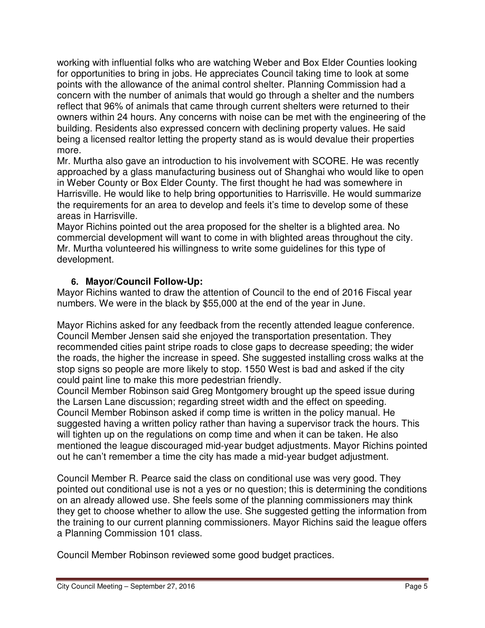working with influential folks who are watching Weber and Box Elder Counties looking for opportunities to bring in jobs. He appreciates Council taking time to look at some points with the allowance of the animal control shelter. Planning Commission had a concern with the number of animals that would go through a shelter and the numbers reflect that 96% of animals that came through current shelters were returned to their owners within 24 hours. Any concerns with noise can be met with the engineering of the building. Residents also expressed concern with declining property values. He said being a licensed realtor letting the property stand as is would devalue their properties more.

Mr. Murtha also gave an introduction to his involvement with SCORE. He was recently approached by a glass manufacturing business out of Shanghai who would like to open in Weber County or Box Elder County. The first thought he had was somewhere in Harrisville. He would like to help bring opportunities to Harrisville. He would summarize the requirements for an area to develop and feels it's time to develop some of these areas in Harrisville.

Mayor Richins pointed out the area proposed for the shelter is a blighted area. No commercial development will want to come in with blighted areas throughout the city. Mr. Murtha volunteered his willingness to write some guidelines for this type of development.

# **6. Mayor/Council Follow-Up:**

Mayor Richins wanted to draw the attention of Council to the end of 2016 Fiscal year numbers. We were in the black by \$55,000 at the end of the year in June.

Mayor Richins asked for any feedback from the recently attended league conference. Council Member Jensen said she enjoyed the transportation presentation. They recommended cities paint stripe roads to close gaps to decrease speeding; the wider the roads, the higher the increase in speed. She suggested installing cross walks at the stop signs so people are more likely to stop. 1550 West is bad and asked if the city could paint line to make this more pedestrian friendly.

Council Member Robinson said Greg Montgomery brought up the speed issue during the Larsen Lane discussion; regarding street width and the effect on speeding. Council Member Robinson asked if comp time is written in the policy manual. He suggested having a written policy rather than having a supervisor track the hours. This will tighten up on the regulations on comp time and when it can be taken. He also mentioned the league discouraged mid-year budget adjustments. Mayor Richins pointed out he can't remember a time the city has made a mid-year budget adjustment.

Council Member R. Pearce said the class on conditional use was very good. They pointed out conditional use is not a yes or no question; this is determining the conditions on an already allowed use. She feels some of the planning commissioners may think they get to choose whether to allow the use. She suggested getting the information from the training to our current planning commissioners. Mayor Richins said the league offers a Planning Commission 101 class.

Council Member Robinson reviewed some good budget practices.